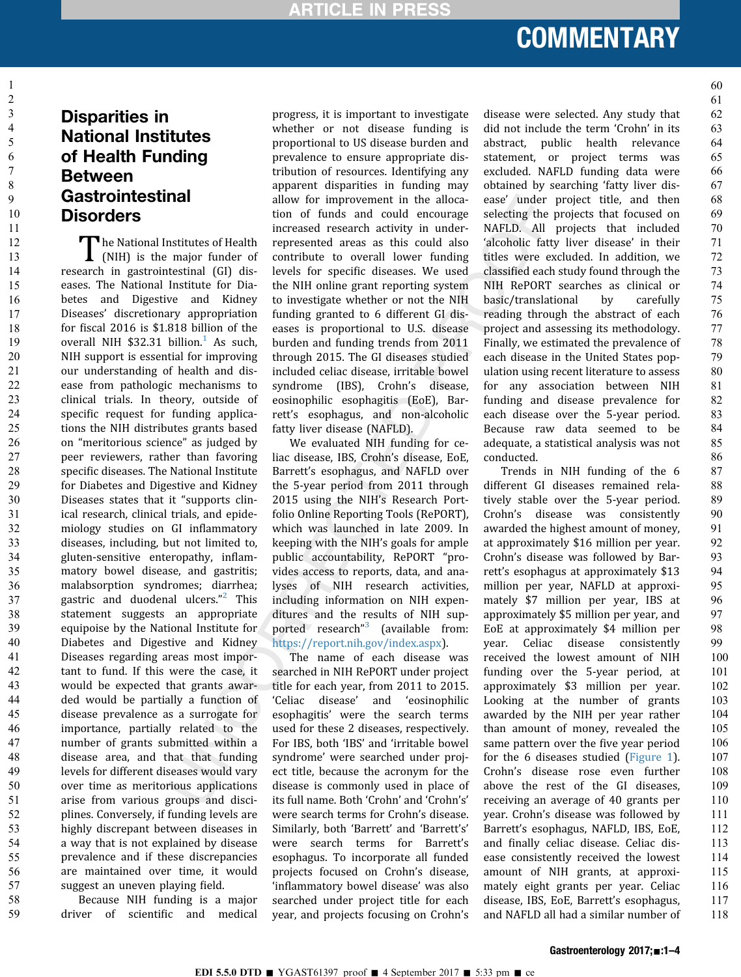### **COMMENTARY** Commentary of the company

### Disparities in National Institutes of Health Funding Between **Gastrointestinal Disorders**

The National Institutes of Health<br>
(NIH) is the major funder of research in gastrointestinal (GI) diseases. The National Institute for Diabetes and Digestive and Kidney Diseases' discretionary appropriation for fiscal 2016 is \$1.818 billion of the overall NIH  $$32.31$  $$32.31$  billion.<sup>1</sup> As such, NIH support is essential for improving our understanding of health and disease from pathologic mechanisms to clinical trials. In theory, outside of specific request for funding applications the NIH distributes grants based on "meritorious science" as judged by peer reviewers, rather than favoring specific diseases. The National Institute for Diabetes and Digestive and Kidney Diseases states that it "supports clinical research, clinical trials, and epidemiology studies on GI inflammatory diseases, including, but not limited to, gluten-sensitive enteropathy, inflammatory bowel disease, and gastritis; malabsorption syndromes; diarrhea; gastric and duodenal ulcers." [2](#page-2-0) This statement suggests an appropriate equipoise by the National Institute for Diabetes and Digestive and Kidney Diseases regarding areas most important to fund. If this were the case, it would be expected that grants awarded would be partially a function of disease prevalence as a surrogate for importance, partially related to the number of grants submitted within a disease area, and that that funding levels for different diseases would vary over time as meritorious applications arise from various groups and disciplines. Conversely, if funding levels are highly discrepant between diseases in a way that is not explained by disease prevalence and if these discrepancies are maintained over time, it would suggest an uneven playing field.

Because NIH funding is a major driver of scientific and medical

progress, it is important to investigate whether or not disease funding is proportional to US disease burden and prevalence to ensure appropriate distribution of resources. Identifying any apparent disparities in funding may allow for improvement in the allocation of funds and could encourage increased research activity in underrepresented areas as this could also contribute to overall lower funding levels for specific diseases. We used the NIH online grant reporting system to investigate whether or not the NIH funding granted to 6 different GI diseases is proportional to U.S. disease burden and funding trends from 2011 through 2015. The GI diseases studied included celiac disease, irritable bowel syndrome (IBS), Crohn's disease, eosinophilic esophagitis (EoE), Barrett's esophagus, and non-alcoholic fatty liver disease (NAFLD).

We evaluated NIH funding for celiac disease, IBS, Crohn's disease, EoE, Barrett's esophagus, and NAFLD over the 5-year period from 2011 through 2015 using the NIH's Research Portfolio Online Reporting Tools (RePORT), which was launched in late 2009. In keeping with the NIH's goals for ample public accountability, RePORT "provides access to reports, data, and analyses of NIH research activities, including information on NIH expenditures and the results of NIH sup-ported research"<sup>[3](#page-2-0)</sup> (available from: <https://report.nih.gov/index.aspx>).

The name of each disease was searched in NIH RePORT under project title for each year, from 2011 to 2015. 'Celiac disease' and 'eosinophilic esophagitis' were the search terms used for these 2 diseases, respectively. For IBS, both 'IBS' and 'irritable bowel syndrome' were searched under project title, because the acronym for the disease is commonly used in place of its full name. Both 'Crohn' and 'Crohn's' were search terms for Crohn's disease. Similarly, both 'Barrett' and 'Barrett's' were search terms for Barrett's esophagus. To incorporate all funded projects focused on Crohn's disease, 'inflammatory bowel disease' was also searched under project title for each year, and projects focusing on Crohn's

disease were selected. Any study that did not include the term 'Crohn' in its abstract, public health relevance statement, or project terms was excluded. NAFLD funding data were obtained by searching 'fatty liver disease' under project title, and then selecting the projects that focused on NAFLD. All projects that included 'alcoholic fatty liver disease' in their titles were excluded. In addition, we classified each study found through the NIH RePORT searches as clinical or basic/translational by carefully reading through the abstract of each project and assessing its methodology. Finally, we estimated the prevalence of each disease in the United States population using recent literature to assess for any association between NIH funding and disease prevalence for each disease over the 5-year period. Because raw data seemed to be adequate, a statistical analysis was not conducted.

Trends in NIH funding of the 6 different GI diseases remained relatively stable over the 5-year period. Crohn's disease was consistently awarded the highest amount of money, at approximately \$16 million per year. Crohn's disease was followed by Barrett's esophagus at approximately \$13 million per year, NAFLD at approximately \$7 million per year, IBS at approximately \$5 million per year, and EoE at approximately \$4 million per year. Celiac disease consistently received the lowest amount of NIH funding over the 5-year period, at approximately \$3 million per year. Looking at the number of grants awarded by the NIH per year rather than amount of money, revealed the same pattern over the five year period for the 6 diseases studied ([Figure 1\)](#page-1-0). Crohn's disease rose even further above the rest of the GI diseases, receiving an average of 40 grants per year. Crohn's disease was followed by Barrett's esophagus, NAFLD, IBS, EoE, and finally celiac disease. Celiac disease consistently received the lowest amount of NIH grants, at approximately eight grants per year. Celiac disease, IBS, EoE, Barrett's esophagus, and NAFLD all had a similar number of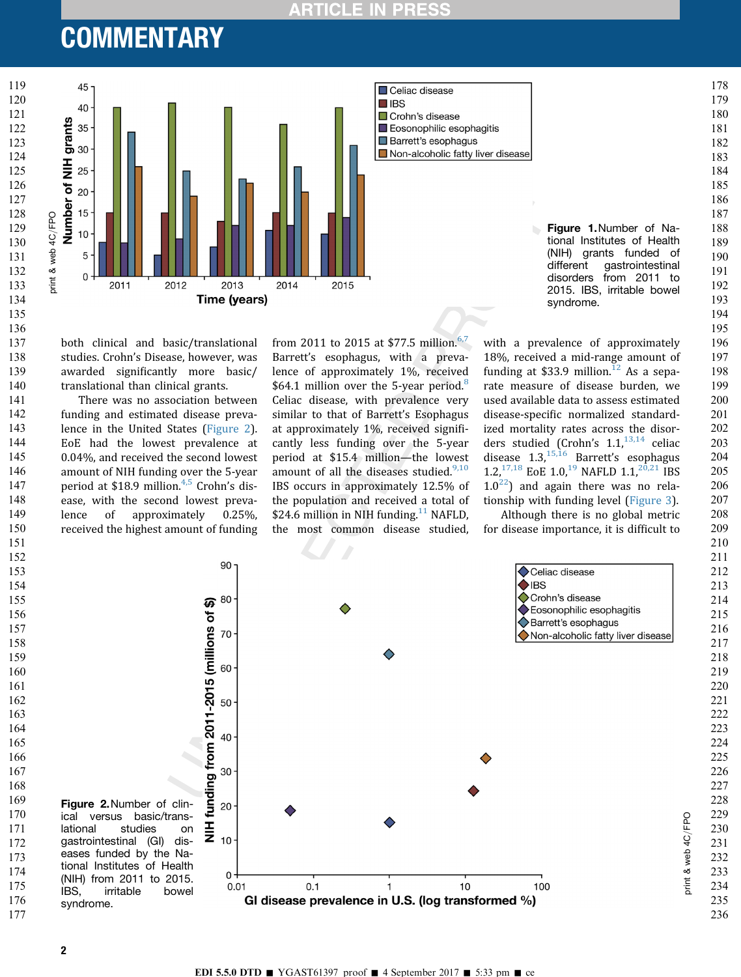### **PRES RTICLE IN**

<span id="page-1-0"></span>



both clinical and basic/translational studies. Crohn's Disease, however, was awarded significantly more basic/ translational than clinical grants.

There was no association between funding and estimated disease prevalence in the United States (Figure 2). EoE had the lowest prevalence at 0.04%, and received the second lowest amount of NIH funding over the 5-year period at \$18.9 million.<sup>[4,5](#page-2-0)</sup> Crohn's disease, with the second lowest prevalence of approximately 0.25%, received the highest amount of funding from 2011 to 2015 at \$77.5 million.<sup>[6,7](#page-3-0)</sup> Barrett's esophagus, with a prevalence of approximately 1%, received \$64.1 million over the 5-year period.<sup>[8](#page-3-0)</sup> Celiac disease, with prevalence very similar to that of Barrett's Esophagus at approximately 1%, received significantly less funding over the 5-year period at \$15.4 million—the lowest amount of all the diseases studied. $9,10$ IBS occurs in approximately 12.5% of the population and received a total of \$24.6 million in NIH funding.<sup>[11](#page-3-0)</sup> NAFLD, the most common disease studied, with a prevalence of approximately 18%, received a mid-range amount of funding at \$33.9 million.<sup>[12](#page-3-0)</sup> As a separate measure of disease burden, we used available data to assess estimated disease-specific normalized standardized mortality rates across the disorders studied (Crohn's  $1.1<sup>{13,14}</sup>$  celiac disease  $1.3<sup>15,16</sup>$  $1.3<sup>15,16</sup>$  $1.3<sup>15,16</sup>$  Barrett's esophagus 1.2,<sup>[17,18](#page-3-0)</sup> EoE 1.0,<sup>[19](#page-3-0)</sup> NAFLD 1.1,<sup>[20,21](#page-3-0)</sup> IBS  $1.0^{22}$ ) and again there was no relationship with funding level ([Figure 3\)](#page-2-0).

Although there is no global metric for disease importance, it is difficult to

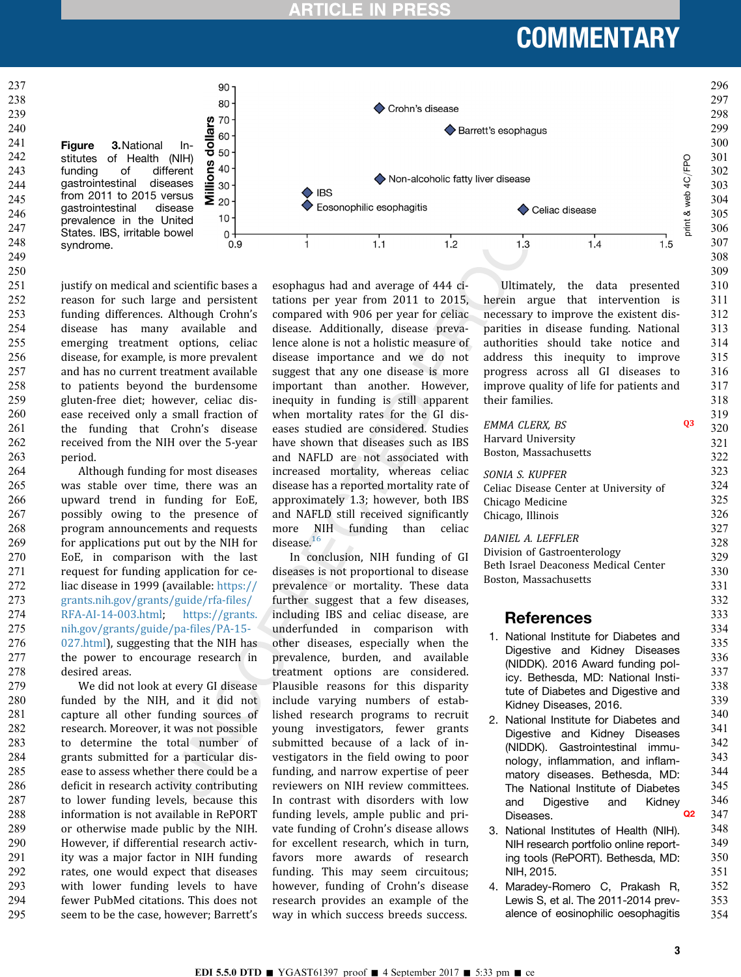**ARTICLE IN PRES** 

## **COMMENTARY**

<span id="page-2-0"></span>

justify on medical and scientific bases a reason for such large and persistent funding differences. Although Crohn's disease has many available and emerging treatment options, celiac disease, for example, is more prevalent and has no current treatment available to patients beyond the burdensome gluten-free diet; however, celiac disease received only a small fraction of the funding that Crohn's disease received from the NIH over the 5-year period. 251 252 253 254 255 256 257 258 259 260 261 262 263

Although funding for most diseases was stable over time, there was an upward trend in funding for EoE, possibly owing to the presence of program announcements and requests for applications put out by the NIH for EoE, in comparison with the last request for funding application for celiac disease in 1999 (available: [https://](https://grants.nih.gov/grants/guide/rfa-files/RFA-AI-14-003.html) [grants.nih.gov/grants/guide/rfa-](https://grants.nih.gov/grants/guide/rfa-files/RFA-AI-14-003.html)files/ [RFA-AI-14-003.html](https://grants.nih.gov/grants/guide/rfa-files/RFA-AI-14-003.html); [https://grants.](https://grants.nih.gov/grants/guide/pa-files/PA-15-027.html) [nih.gov/grants/guide/pa-](https://grants.nih.gov/grants/guide/pa-files/PA-15-027.html)files/PA-15- [027.html](https://grants.nih.gov/grants/guide/pa-files/PA-15-027.html)), suggesting that the NIH has the power to encourage research in desired areas. 264 265 266 267 268 269 270 271 272 273 274 275 276 277 278

We did not look at every GI disease funded by the NIH, and it did not capture all other funding sources of research. Moreover, it was not possible to determine the total number of grants submitted for a particular disease to assess whether there could be a deficit in research activity contributing to lower funding levels, because this information is not available in RePORT or otherwise made public by the NIH. However, if differential research activity was a major factor in NIH funding rates, one would expect that diseases with lower funding levels to have fewer PubMed citations. This does not seem to be the case, however; Barrett's 279 280 281 282 283 284 285 286 287 288 289 290 291 292 293 294 295

esophagus had and average of 444 citations per year from 2011 to 2015, compared with 906 per year for celiac disease. Additionally, disease prevalence alone is not a holistic measure of disease importance and we do not suggest that any one disease is more important than another. However, inequity in funding is still apparent when mortality rates for the GI diseases studied are considered. Studies have shown that diseases such as IBS and NAFLD are not associated with increased mortality, whereas celiac disease has a reported mortality rate of approximately 1.3; however, both IBS and NAFLD still received significantly more NIH funding than celiac disease.<sup>[16](#page-3-0)</sup>

In conclusion, NIH funding of GI diseases is not proportional to disease prevalence or mortality. These data further suggest that a few diseases, including IBS and celiac disease, are underfunded in comparison with other diseases, especially when the prevalence, burden, and available treatment options are considered. Plausible reasons for this disparity include varying numbers of established research programs to recruit young investigators, fewer grants submitted because of a lack of investigators in the field owing to poor funding, and narrow expertise of peer reviewers on NIH review committees. In contrast with disorders with low funding levels, ample public and private funding of Crohn's disease allows for excellent research, which in turn, favors more awards of research funding. This may seem circuitous; however, funding of Crohn's disease research provides an example of the way in which success breeds success.

Ultimately, the data presented herein argue that intervention is necessary to improve the existent disparities in disease funding. National authorities should take notice and address this inequity to improve progress across all GI diseases to improve quality of life for patients and their families.

|    |                                                               |                | 319 |
|----|---------------------------------------------------------------|----------------|-----|
|    | <b>EMMA CLERX, BS</b>                                         | Q <sub>3</sub> | 320 |
|    | Harvard University                                            |                | 321 |
|    | Boston, Massachusetts                                         |                | 322 |
|    | SONIA S. KUPFER                                               |                | 323 |
|    | Celiac Disease Center at University of                        |                | 324 |
|    | Chicago Medicine                                              |                | 325 |
|    | Chicago, Illinois                                             |                | 326 |
|    |                                                               |                | 327 |
|    | DANIEL A. LEFFLER                                             |                | 328 |
|    | Division of Gastroenterology                                  |                | 329 |
|    | Beth Israel Deaconess Medical Center<br>Boston, Massachusetts |                | 330 |
|    |                                                               |                | 331 |
|    |                                                               |                | 332 |
|    | <b>References</b>                                             |                | 333 |
| 1. | National Institute for Diabetes and                           |                | 334 |
|    | Digestive and Kidney Diseases                                 |                | 335 |
|    | (NIDDK). 2016 Award funding pol-                              |                | 336 |
|    | icy. Bethesda, MD: National Insti-                            |                | 337 |
|    | tute of Diabetes and Digestive and                            |                | 338 |
|    | Kidney Diseases, 2016.                                        |                | 339 |
| 2. | National Institute for Diabetes and                           |                | 340 |
|    | Diaestive<br>and Kidney Diseases                              |                | 341 |
|    | (NIDDK). Gastrointestinal immu-                               |                | 342 |
|    | nology, inflammation, and inflam-                             |                | 343 |
|    | matory diseases. Bethesda, MD:                                |                | 344 |
|    | The National Institute of Diabetes                            |                | 345 |
|    | Digestive<br>and<br>Kidney<br>and                             |                | 346 |
|    | Diseases.                                                     | Ω2             | 347 |
| 3. | National Institutes of Health (NIH).                          |                | 348 |
|    | NIH research portfolio online report-                         |                | 349 |
|    | ing tools (RePORT). Bethesda, MD:                             |                | 350 |
|    | NIH, 2015.                                                    |                | 351 |
| 4. | Maradey-Romero C, Prakash R,                                  |                | 352 |
|    | Lewis S, et al. The 2011-2014 prev-                           |                | 353 |
|    | alence of eosinophilic oesophagitis                           |                | 354 |
|    |                                                               |                |     |